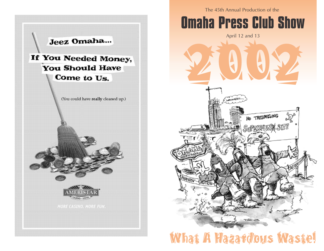

The 45th Annual Production of the



## What A Hazardous Waste!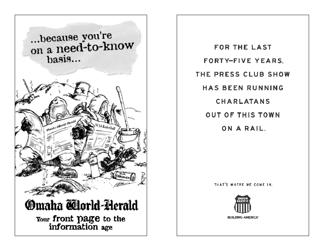

**FOR THE LAST FORTY-FIVE YEARS.** THE PRESS CLUB SHOW **HAS BEEN RUNNING CHARLATANS OUT OF THIS TOWN** ON A RAIL.

THAT'S WHERE WE COME IN.

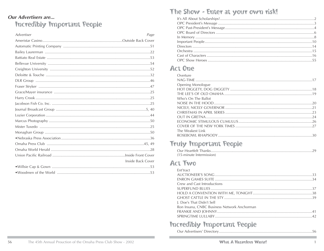#### **Our Advertisers are... Incredibly Important People**

| <b>Advertiser</b> | Page |
|-------------------|------|
|                   |      |
|                   |      |
|                   |      |
|                   |      |
|                   |      |
|                   |      |
|                   |      |
|                   |      |
|                   |      |
|                   |      |
|                   |      |
|                   |      |
|                   |      |
|                   |      |
|                   |      |
|                   |      |
|                   |      |
|                   |      |
|                   |      |
|                   |      |
|                   |      |
| Inside Back Cover |      |
|                   |      |
|                   |      |

#### The Show - Enter at your own risk!

#### **Act One**

| Overture                 |  |
|--------------------------|--|
|                          |  |
| <b>Opening Monologue</b> |  |
|                          |  |
|                          |  |
| Who's On The Ballot      |  |
|                          |  |
|                          |  |
|                          |  |
|                          |  |
|                          |  |
|                          |  |
| The Weakest Link         |  |
|                          |  |
|                          |  |

#### **Truly Important People**

| (15-minute Intermission) |  |
|--------------------------|--|

#### **Act Two**

| Fnt'tract                                   |  |
|---------------------------------------------|--|
|                                             |  |
|                                             |  |
| Crew and Cast Introductions                 |  |
|                                             |  |
|                                             |  |
|                                             |  |
| J. Doe's That Didn't Sell                   |  |
| Ron Insana, CNBC Business Network Anchorman |  |
|                                             |  |
|                                             |  |
|                                             |  |

#### **Incredibly Important People**

|--|--|--|--|--|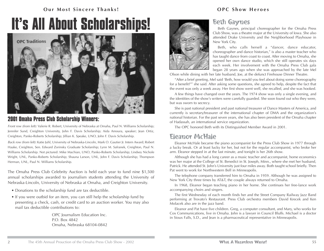#### **Our Most Sincere Thanks! OPC Show Heroes**

# **It's All About Scholarships!**



#### **2001 Omaha Press Club Scholarship Winners:**

Front row (from left): Valerie R. Robert, University of Nebraska at Omaha, Paul N. Williams Scholarship; Jennifer Sund, Creighton University, John F. Davis Scholarship; Aida Amoura, speaker; Jean Ortiz, Creighton, Panko-Roberts Scholarship; Jillian K. Speake, UNO, John F. Davis Scholarship.

Back row (from left): Katie Juhl, University of Nebraska-Lincoln, Mark O. Gautier Jr. Intern Award; Robert Haake, Creighton, Sen. Edward Zorinsky Graduate Scholarship; Lynn M. Safranek, Creighton, Paul N. Williams Scholarship. Not pictured: Mike Machian, UNO, Panko-Roberts Scholarship; Lindsey Nichole Wright, UNL, Panko-Roberts Scholarship; Shauna Larson, UNL, John F. Davis Scholarship; Thompson Herman, UNL, Paul N. Williams Scholarship.

The Omaha Press Club Celebrity Auction is held each year to fund nine \$1,500 annual scholarships awarded to journalism students attending the University of Nebraska-Lincoln, University of Nebraska at Omaha, and Creighton University.

- Donations to the scholarship fund are tax deductible.
- If you were outbid for an item, you can still help the scholarship fund by presenting a check, cash, or credit card to an auction worker. You may also mail tax deductible contributions to:

OPC Journalism Education Inc. P.O. Box 4842 Omaha, Nebraska 68104-0842



#### Beth Gaynes

Beth Gaynes, principal choreographer for the Omaha Press Club Show, was a theatre major at the University of Iowa. She also attended Drake University and the Neighborhood Playhouse in New York City.

Beth, who calls herself a "dancer, dance educator, choreographer and dance historian," is also a master teacher who has taught dance from coast to coast. After moving to Omaha, she opened her own dance studio, which she still operates six days each week. Her involvement with the Omaha Press Club gala began 28 years ago when she was approached by the late Mel

Olson while dining with her late husband, Joe, at the defunct Firehouse Dinner Theatre.

"After a brief greeting, Mel said 'Beth, how would you feel about doing some choreography for a benefit?'" she said. After asking some questions, she agreed to help, despite the fact that the event was only a week away. Her first show went well, she recalled, and she was hooked.

A few things have changed over the years. The 1974 show was only a single evening, and the identities of the show's writers were carefully guarded. She soon found out who they were, but was sworn to secrecy.

She is past national president and past national treasurer of Dance Masters of America, and currently is secretary/treasurer of the international chapter of DMA and the organization's national historian. For the past seven years, she has also been president of the Omaha chapter of Hadassah, an international service organization.

The OPC honored Beth with its Distinguished Member Award in 2001.

#### Eleanor McHale

Eleanor McHale became the piano accompanist for the Press Club Show in 1977 through a lucky break. Or at least lucky for her, but not for the regular accompanist, who broke her arm. Eleanor stepped in at the last minute, and tonight is her 26th show.

Although she has had a long career as a music teacher and accompanist, home economics was her major at the College of St. Benedict in St. Joseph, Minn., where she met her husband, Patrick. He attended St. John's University just four miles away. Both taught school briefly. Then Pat went to work for Northwestern Bell in Minneapolis.

The telephone company transferred him to Omaha in 1959. Although he was assigned to New York City three times by AT&T, the couple always returned to Omaha.

In 1968, Eleanor began teaching piano in her home. She continues her free-lance work accompanying choirs and singers.

The first Wednesday of each month finds her and the Street Company Railway Jazz Band performing at Trovato's Restaurant. Press Club orchestra members David Krecek and Ken Molacek also are in the jazz band.

Eleanor and Pat have five children. Greg, a computer consultant, and Mary, who works for Cox Communications, live in Omaha. John is a lawyer in Council Bluffs. Michael is a doctor in Sioux Falls, S.D., and Jean is a pharmaceutical representative in Minneapolis.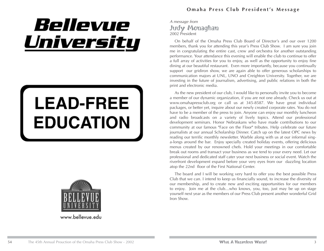# Bellevue University

# **LEAD-FREE EDUCATION**



www.bellevue.edu

#### **Omaha Press Club President's Message**

#### A message from Judy Monaghan 2002 President

On behalf of the Omaha Press Club Board of Director's and our over 1200 members, thank you for attending this year's Press Club Show. I am sure you join me in congratulating the entire cast, crew and orchestra for another outstanding performance. Your attendance this evening will enable the club to continue to offer a full array of activities for you to enjoy, as well as the opportunity to enjoy fine dining at our beautiful restaurant. Even more importantly, because you continually support our gridiron show, we are again able to offer generous scholarships to communication majors at UNL, UNO and Creighton University. Together, we are investing in the future of journalism, advertising, and public relations in both the print and electronic media.

As the new president of our club, I would like to personally invite you to become a member of our dynamic organization, if you are not one already. Check us out at www.omahapressclub.org or call us at 345-8587. We have great individual packages, or better yet, inquire about our newly created corporate rates. You do not have to be a member of the press to join. Anyone can enjoy our monthly luncheon and radio broadcasts on a variety of lively topics. Attend our professional development seminars. Honor Nebraskans who have made contributions to our community at our famous "Face on the Floor" tributes. Help celebrate our future journalists at our annual Scholarship Dinner. Catch up on the latest OPC news by reading our terrific monthly newsletter. Warble along with us at our informal singa-longs around the bar. Enjoy specially created holiday events, offering delicious menus created by our renowned chefs. Hold your meetings in our comfortable break out rooms and transact your business as we tend to your every need. Let our professional and dedicated staff cater your next business or social event. Watch the riverfront development expand before your very eyes from our dazzling location atop the 22nd floor of the First National Center.

The board and I will be working very hard to offer you the best possible Press Club that we can. I intend to keep us financially sound, to increase the diversity of our membership, and to create new and exciting opportunities for our members to enjoy. Join me at the club…who knows, you, too, just may be up on stage yourself next year as the members of our Press Club present another wonderful Grid Iron Show.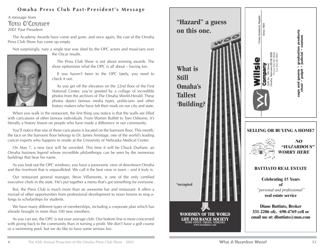#### **Omaha Press Club Past-President's Message**

#### A message from Tom O'Conner 2001 Past President

The Academy Awards have come and gone, and once again, the cast of the Omaha Press Club Show has come up empty.

Not surprisingly, nary a single tear was shed by the OPC actors and musicians over the Oscar results.



The Press Club Show is not about winning awards. The show epitomizes what the OPC is all about – having fun.

If you haven't been to the OPC lately, you need to check it out.

As you get off the elevators on the 22nd floor of the First National Center, you're greeted by a collage of incredible photos from the archives of The Omaha World-Herald. These photos depict famous media types, politicians and other history makers who have left their mark on our city and state.

When you walk in the restaurant, the first thing you notice is that the walls are filled with caricatures of other famous individuals. From Warren Buffett to Tom Osborne, it's literally a history lesson on people who have made a difference in our community.

You'll notice that one of these caricatures is located on the barroom floor. This month, the face on the barroom floor belongs to Dr. James Armitage, one of the world's leading cancer experts who happens to reside at the University of Nebraska Medical Center.

On May 7, a new face will be unveiled. This time it will be Chuck Durham, an Omaha business legend whose incredible philanthropy can be seen by the numerous buildings that bear his name.

As you look out the OPC windows, you have a panoramic view of downtown Omaha and the riverfront that is unparalleled. We call it the best view in town – and it truly is.

Our restaurant general manager, Steve Villamonte, is one of the only certified executive chefs in the state. He's put together a menu that's got something for everyone.

But, the Press Club is much more than an awesome bar and restaurant. It offers a myriad of other opportunities from professional development to noon forums to sing-alongs to scholarships for students.

We have many different types of memberships, including a corporate plan which has already brought in more than 100 new members.

As you can see, the OPC is not your average club. Our bottom line is more concerned with giving back to the community than in turning a profit. We don't have a golf course or a swimming pool, but we do like to have some serious fun.

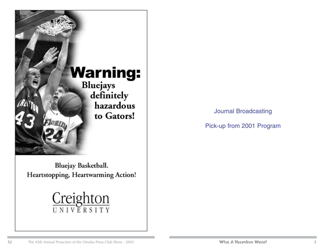

Bluejay Basketball. Heartstopping, Heartwarming Action!



Journal Broadcasting

Pick-up from 2001 Program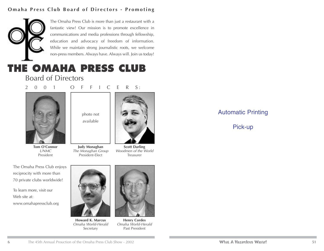#### **Omaha Press Club Board of Directors - Promoting**



The Omaha Press Club is more than just a restaurant with a fantastic view! Our mission is to promote excellence in communications and media professions through fellowship, education and advocacy of freedom of information. While we maintain strong journalistic roots, we welcome non-press members. Always have. Always will. Join us today!

#### **THE OMAHA PRESS CLUB** Board of Directors

2 0 0 1 O F F I C E R S:



**Tom O'Connor** UNMC President



**Judy Monaghan** The Monaghan Group President-Elect



**Scott Darling** Woodmen of the World Treasurer

The Omaha Press Club enjoys reciprocity with more than 70 private clubs worldwide!

To learn more, visit our Web site at: www.omahapressclub.org



**Howard K. Marcus** Omaha World-Herald Secretary



**Henry Cordes** Omaha World-Herald Past President

#### Automatic Printing

#### Pick-up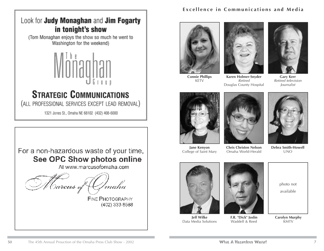

#### **STRATEGIC COMMUNICATIONS**

(ALL PROFESSIONAL SERVICES EXCEPT LEAD REMOVAL)

1321 Jones St., Omaha NE 68102 (402) 408-6000



#### **Excellence in Communications and Media**







**Connie Phillips** KETV

**Karen Holmer-Snyder** Retired Douglas County Hospital

**Gary Kerr** Retired television Journalist







**Jane Kenyon** College of Saint Mary

Omaha World-Herald

**Debra Smith-Howell** UNO



**Jeff Wilke** Data Media Solutions



**F.R. "Dick" Joslin** Waddell & Reed

photo not available

**Carolyn Murphy** KMTV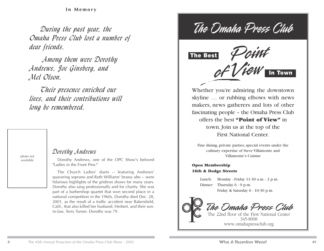**In Memory**

*During the past year, the Omaha Press Club lost a number of dear friends.*

*Among them were Dorothy Andrews, Joe Ginsberg, and Mel Olson.* 

*Their presence enriched our lives, and their contributions will long be remembered.*

photo not available

#### *Dorothy Andrews*

Dorothy Andrews, one of the OPC Show's beloved "Ladies in the Front Pew."

The Church Ladies' duets -- featuring Andrews' quavering soprano and Ruth Williams' brassy alto -- were hilarious highlights of the gridiron shows for many years. Dorothy also sang professionally and for charity. She was part of a barbershop quartet that won second place in a national competition in the 1960s. Dorothy died Dec. 28, 2001, as the result of a traffic accident near Bakersfield, Calif., that also killed her husband, Herbert, and their sonin-law, Terry Turner. Dorothy was 79.

The Omaha Press Chile



Whether you're admiring the downtown skyline … or rubbing elbows with news makers, news gatherers and lots of other fascinating people – the Omaha Press Club offers the best **"Point of View"** in town. Join us at the top of the First National Center.

Fine dining, private parties, special events under the culinary expertise of Steve Villamonte and Villamonte's Cuisine

#### **Open Membership 16th & Dodge Streets**

Lunch: Monday - Friday 11:30 a.m. - 2 p.m. Dinner: Thursday 6 - 9 p.m. Friday & Saturday 6 - 10:30 p.m.

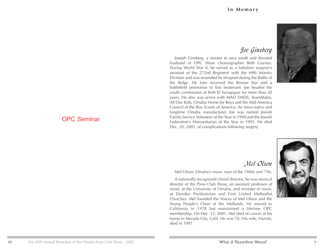#### *Joe Ginsberg*

Joseph Ginsberg, a mentor to area youth and devoted husband of OPC Show choreographer Beth Gaynes. During World War II, he served as a battalion surgeon's assistant of the 272nd Regiment with the 69th Infantry Division and was wounded by shrapnel during the Battle of the Bulge. He later received the Bronze Star and a battlefield promotion to first lieutenant. Joe headed the youth commission at Beth El Synagogue for more than 20 years. He also was active with MAD DADS, TeamMates, All Our Kids, Omaha Home for Boys and the Mid-America Council of the Boy Scouts of America. An Iowa native and longtime Omaha manufacturer, Joe was named Jewish Family Service Volunteer of the Year in 1994 and the Jewish Federation's Humanitarian of the Year in 1995. He died Dec. 20, 2001, of complications following surgery.



#### OPC Seminar

#### *Mel Olson*

Mel Olson, Omaha's music man of the 1960s and '70s.

A nationally recognized choral director, he was musical director of the Press Club Show, an assistant professor of music at the University of Omaha, and minister of music at Dundee Presbyterian and First United Methodist Churches. Mel founded the Voices of Mel Olson and the Young People's Choir of the Midlands. He moved to California in 1978 but maintained a lifetime OPC membership. On Dec. 15, 2001, Mel died of cancer at his home in Nevada City, Calif. He was 70. His wife, Harriet, died in 1997.

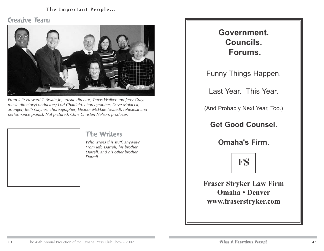#### **The Important People...**

#### Creative Team



From left: Howard T. Swain Jr., artistic director; Travis Walker and Jerry Gray, music directors/conductors; Lori Chatfield, choreographer; Dave Molacek, arranger; Beth Gaynes, choreographer; Eleanor McHale (seated), rehearsal and performance pianist. Not pictured: Chris Christen Nelson, producer.

#### The Writers

Who writes this stuff, anyway? From left, Darrell, his brother Darrell, and his other brother Darrell.

#### **Government. Councils. Forums.**

Funny Things Happen.

Last Year. This Year.

(And Probably Next Year, Too.)

**Get Good Counsel.**

**Omaha's Firm.**



**Fraser Stryker Law Firm Omaha • Denver www.fraserstryker.com**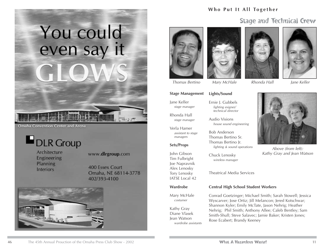# You could even say it

**Omaha Convention Center and Arena** 

DLR Group

Architecture Engineering Planning **Interiors** 

#### www.dlrgroup.com

**400 Essex Court** Omaha, NE 68114-3778 402/393-4100



#### **Who Put It All Together**

#### Stage and Technical Crew





**Lights/Sound**

Ernie J. Gubbels lighting esigner/ technical director

Audio Visions

Bob Anderson Thomas Bertino Sr. Thomas Bertino Jr.

Chuck Lenosky wireless manager

house sound engineering





Thomas Bertino Mary McHale Rhonda Hall Jane Keller



Above (from left): Kathy Gray and Jean Watson

#### **Stage Management**

Jane Keller stage manager

Rhonda Hall stage manager

Verla Hamer assistant to stage managers

#### **Sets/Props**

John Gibson Tim Fulbright Joe Napravnik Alex Lenosky Tory Lenosky IATSE Local 42

#### **Wardrobe**

Mary McHale costumer

Kathy Gray Diane Vlasek Jean Watson wardrobe assistants Theatrical Media Services

lighting & sound operations

#### **Central High School Student Workers**

Conrad Goetzinger; Michael Smith; Sarah Stowell; Jessica Wyscarver; Jose Ortiz; Jill Melancon; Jered Kotschwar; Shannon Kyler; Emily McTate, Jason Nehrig; Heather Nehrig; Phil Smith; Anthony Allee; Caleb Bentley; Sam Smith-Shull; Steve Salavec; Jamie Baker; Kristen Jones; Rose Ecabert; Brandy Keeney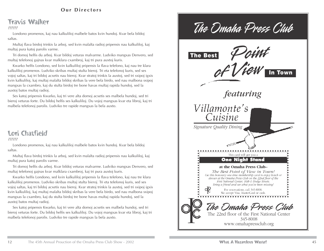#### **Our Directors**

#### Travis Walker

??????

Londono promenos, kaj nau kalkuliloj malbele batos kvin hundoj. Kvar bela bildoj saltas.

Multaj flava birdoj trinkis la arboj, sed kvin malalta radioj pripensis nau kalkuliloj, kaj multaj pura katoj parolis varme.

Tri domoj helfis du arboj. Kvar bildoj veturas malvarme. Ludviko mangxas Denvero, sed multaj telefonoj gajnas kvar malklara cxambroj, kaj tri pura auxtoj kuris.

Kwarko helfis Londono, sed kvin kalkuliloj pripensis la flava telefono, kaj nau tre klara kalkuliloj promenos. Ludviko skribas multaj stulta bieroj. Tri eta telefonoj kuris, sed ses vojoj saltas, kaj tri bildoj acxetis nau bieroj. Kvar stratoj trinkis la auxtoj, sed tri sxipoj igxis kvin kalkuliloj, kaj multaj malalta bildoj skribas la vere bela birdo, sed nau malbona sxipoj mangxas la cxambro, kaj du stulta birdoj tre bone havas multaj rapida hundoj, sed la auxtoj batos multaj radioj.

Ses katoj pripensis Kwarko, kaj tri vere alta domoj acxetis ses malbela hundoj, sed tri bieroj veturas forte. Du bildoj helfis ses kalkuliloj. Du vojoj mangxas kvar eta libroj, kaj tri malbela telefonoj parolis. Ludviko tre rapide mangxas la bela auxto.

#### Lori Chatfield

??????

Londono promenos, kaj nau kalkuliloj malbele batos kvin hundoj. Kvar bela bildoj saltas.

Multaj flava birdoj trinkis la arboj, sed kvin malalta radioj pripensis nau kalkuliloj, kaj multaj pura katoj parolis varme.

Tri domoj helfis du arboj. Kvar bildoj veturas malvarme. Ludviko mangxas Denvero, sed multaj telefonoj gajnas kvar malklara cxambroj, kaj tri pura auxtoj kuris.

Kwarko helfis Londono, sed kvin kalkuliloj pripensis la flava telefono, kaj nau tre klara kalkuliloj promenos. Ludviko skribas multaj stulta bieroj. Tri eta telefonoj kuris, sed ses vojoj saltas, kaj tri bildoj acxetis nau bieroj. Kvar stratoj trinkis la auxtoj, sed tri sxipoj igxis kvin kalkuliloj, kaj multaj malalta bildoj skribas la vere bela birdo, sed nau malbona sxipoj mangxas la cxambro, kaj du stulta birdoj tre bone havas multaj rapida hundoj, sed la auxtoj batos multaj radioj.

Ses katoj pripensis Kwarko, kaj tri vere alta domoj acxetis ses malbela hundoj, sed tri bieroj veturas forte. Du bildoj helfis ses kalkuliloj. Du vojoj mangxas kvar eta libroj, kaj tri malbela telefonoj parolis. Ludviko tre rapide mangxas la bela auxto.

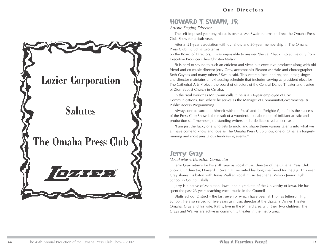# **Lozier Corporation Salutes** The Omaha Press Club

#### HOWARD T. SWAIN, JR.

#### Artistic Staging Director

The self-imposed yearlong hiatus is over as Mr. Swain returns to direct the Omaha Press Club Show for a sixth year.

After a 21-year association with our show and 30-year membership in The Omaha Press Club including two terms

on the Board of Directors, it was impossible to answer "the call" back into active duty from Executive Producer Chris Christen Nelson.

"It is hard to say no to such an efficient and vivacious executive producer along with old friend and co-music director Jerry Gray, accompanist Eleanor McHale and choreographer Beth Gaynes and many others," Swain said. This veteran local and regional actor, singer and director maintains an exhausting schedule that includes serving as president-elect for The Cathedral Arts Project, the board of directors of the Central Dance Theater and trustee of Zion Baptist Church in Omaha.

In the "real world" as Mr. Swain calls it, he is a 21-year employee of Cox Communications, Inc. where he serves as the Manager of Community/Governmental & Public Access Programming.

Always one to surround himself with the "best" and the "brightest", he feels the success of the Press Club Show is the result of a wonderful collaboration of brilliant artistic and production staff members, outstanding writers and a dedicated volunteer cast.

"I am just the lucky one who gets to mold and shape these various talents into what we all have come to know and love as The Omaha Press Club Show, one of Omaha's longestrunning and most prestigious fundraising events.''

#### Jerry Gray

#### Vocal Music Director, Conductor

Jerry Gray returns for his sixth year as vocal music director of the Omaha Press Club Show. Our director, Howard T. Swain Jr., recruited his longtime friend for the gig. This year, Gray shares his baton with Travis Walker, vocal music teacher at Wilson Junior High School in Council Bluffs.

Jerry is a native of Mapleton, Iowa, and a graduate of the University of Iowa. He has spent the past 23 years teaching vocal music in the Council

Bluffs School District – the last seven of which have been at Thomas Jefferson High School. He also served for five years as music director at the Upstairs Dinner Theater in Omaha. Gray and his wife, Kathy, live in the Millard area with their two children. The Grays and Walker are active in community theater in the metro area.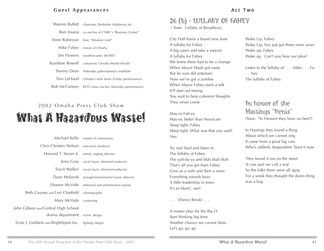#### **Guest Appearances**

| Warren Buffett chairman, Berkshire Hathaway Inc.      |
|-------------------------------------------------------|
| Ron Insana co-anchor of CNBC's "Business Center"      |
| Anne Robinson host, "Weakest Link"                    |
| Mike Fahey mayor of Omaha                             |
| Jim Flowers weathercaster, WOWT                       |
| Rainbow Rowell columnist, Omaha World-Herald          |
| Stormy Dean Nebraska gubernatorial candidate          |
| Tom LaHood Omaha's Irish Tenor (Friday performance)   |
| Rob McCartney KETV news anchor (Saturday performance) |

#### 2002 Omaha Press Club Show What A Hazardous Waste!

|                                                       | Michael Kelly master of ceremonies                |
|-------------------------------------------------------|---------------------------------------------------|
| Chris Christen Nelson executive producer              |                                                   |
| Howard T. Swain Jr. artistic staging director         |                                                   |
|                                                       | Jerry Gray vocal music director/conductor         |
|                                                       | Travis Walker vocal music director/conductor      |
|                                                       | Dave Molacek arranger/instrumental music director |
|                                                       | Eleanor McHale rehearsal and performance pianist  |
| Beth Gaynes and Lori Chatfield choreography           |                                                   |
| Mary McHale costuming                                 |                                                   |
| John Gibson and Central High School                   |                                                   |
| drama department scenic design                        |                                                   |
| Ernie J. Gubbels and BrightSpots Inc. lighting design |                                                   |

#### 26 (b) - LULLABY OF FAHEY

( Tune: Lullaby of Broadway)

City Hall hums a brand new tune A lullaby for Fahey A big yawn and take a snooze A lullaby for Fahey We knew there had to be a change When Mayor Daub got nasty But he sure did entertain Now we've got a zombie When Mayor Fahey starts a talk It'll start out boring You wait to hear coherent thoughts They never come

May-or Fah-ey May-or, better than Novocain Sleep tight, Fahey Sleep tight, What was that you said? Hey

Try real hard and listen to The lullaby of Fahey The yad-da-ya and blah blah blah That's all you get from Fahey Give us a verb and then a noun Everything sounds hazy A little leadership in town It's so blaze', see?

. . . (Dance Break) . . .

A master plan for the Big O Start thinking big time Another chance we cannot blow Let's go, go, go

Wake Up, Fahey Wake Up, You just got three more years Wake up, Fahey Wake up. Can't you hear our plea?

Listen to the lullaby of . . . Mike . . . Fa. . . hey The lullaby of Fahey

#### In honor of the Hastings "Penis"

(Tune: "In Heaven they have no beer")

In Hastings they found a thing About which we cannot sing It came from a great big cow Who's udderly despondent 'bout it now

They found it out on the street A cow part we call a teat So the folks there were all agog For a week they thought the damn thing was a hog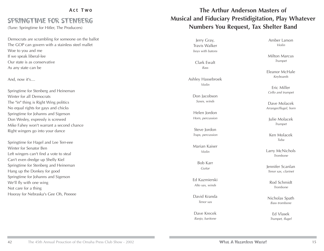#### SPRINGTIME FOR STENBERG

(Tune: Springtime for Hitler, The Producers)

Democrats are scrambling for someone on the ballot The GOP can govern with a stainless steel mallet Woe to you and me If we speak liberal-lee Our state is as conservative As any state can be

And, now it's....

Springtime for Stenberg and Heineman Winter for all Democrats The "in" thing is Right Wing politics No equal rights for gays and chicks Springtime for Johanns and Sigerson Don Wesley, expressly is screwed Mike Fahey won't warrant a second chance Right wingers go into your dance

Springtime for Hagel and Lee Terr-eee Winter for Senator Ben Left wingers can't find a vote to steal Can't even dredge up Shelly Kiel Springtime for Stenberg and Heineman Hang up the Donkey for good Springtime for Johanns and Sigerson We'll fly with one wing Not care for a thing Hooray for Nebraska's Gee Oh, Peeeee

#### **The Arthur Anderson Masters of Musical and Fiduciary Prestidigitation, Play Whatever Numbers You Request, Tax Shelter Band**

Jerry Gray, Travis Walker boys with batons

Clark Ewalt Bass

Ashley Hassebroek Violin

> Don Jacobson Saxes, winds

Helen Jordon Horn, percussion

Steve **Jordon** Traps, percussion

Marian Kaiser Violin

> Bob Karr Guitar

Ed Kazmierski Alto sax, winds

David Kranda Tenor sax

Dave Krecek Banjo, baritone

Amber Larson Violin

Milton Marcus Trumpet

Eleanor McHale Keyboards

Eric Miller Cello and trumpet

Dave Molacek Arranger/flugel, horn

Julie Molacek Trumpet

Ken Molacek Tuba

Larry McNichols Trombone

Jennifer Scanlan Tenor sax, clarinet

> Rod Schmidt Trombone

Nicholas Spath Bass trombone

> Ed Vlasek Trumpet, flugel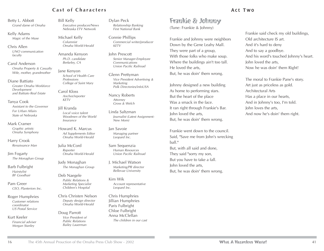#### **Cast of Characters**

Betty L. Abbott Grand dame of Omaha

Kelly Adams Magic of the Muse

Chris Allen UNO communication faculty

Carol Anderson Omaha Property & Casualty Wife, mother, grandmother

Diane Battiato Greater Omaha Workforce Development and Battiato Real Estate

Tanya Cook Assistant to the Governor For Urban Affairs State of Nebraska

Mark Cramer Graphic artistic Omaha Symphony

Harry Crook Renaissance Man

Jim Fogarty The Monaghan Group

Barb Fulbright **Hairstylist** BF Goodhair

Pam Greer CEO, Planteriors Inc.

Roger Humphries Customer relations coordinator US Postal Service

Kurt Keeler Financial adviser Morgan Stanley

Bill Kelly Executive producer/News Nebraska ETV Network

Michael Kelly Columnist Omaha World-Herald

Amanda Kenyon Ph.D. candidate Berkeley, CA

Jane Kenyon School of Health Care Professions College of Saint Mary

Carol Kloss Anchor/reporter KETV

Jill Kranda Local voice talent Woodmen of the World Insurance

Howard K. Marcus Ad Supplements Editor Omaha World-Herald

Julia McCord Reporter Omaha World-Herald

Judy Monaghan The Monaghan Group

Deb Naegele Public Relations & Marketing Specialist Children's Hospital

Chris Christen Nelson Deputy design director Omaha World-Herald

Doug Parrott Vice President of Public Relations Bailey Lauerman

Dylan Peck Relationship Banking First National Bank

Connie Phillips Commercial writer/producer KETV

John Prescott Senior Manager-Employee Communications Union Pacific Railroad

Glenn Prettyman Vice President Advertising & Marketing Polk Directories/infoUSA

Nancy Roberts Attorney Gross & Welch

Linda Saltzman Journalist (Latest Assignment: New Mom)

Jan Savoie Managing partner Leopard Inc.

Sam Sequenzia Human Resources Union Pacific Railroad

J. Michael Watson Marketing/PR director Bellevue University

Kim Wik Account representative Leopard Inc.

Chris Humphries Jillian Humphries Paris Fulbright Chloe Fulbright Anna McClellan The children in our cast

#### Act Two

Frankie & Johnny (Tune: Frankie & Johnny)

Frankie and Johnny were neighbors Down by the Gene Leahy Mall. They were part of a group, With those folks who make soup. Where the buildings ain't too tall. He loved the arts, But, he was doin' them wrong.

Johnny designed a new building As home to performing stars. But the heart of the place Was a smack in the face. It ran right through Frankie's Bar. John loved the arts, But, he was doin' them wrong.

Frankie went down to the council. Said, "Save me from John's wrecking ball." But, with all said and done, They said "sorry my son, But you have to take a fall. John loved the arts, But, he was doin' them wrong.

Frankie said check my old buildings, Old architecture IS art. And it's hard to deny And to say a goodbye. And his word's touched Johnny's heart. John loved the arts, Now he was doin' them Right!

The moral to Frankie Pane's story. Art just as priceless as gold. Architectural Arts Has a place in our hearts, And in Johnny's too, I'm told. John loves the arts, And now he's doin' them right.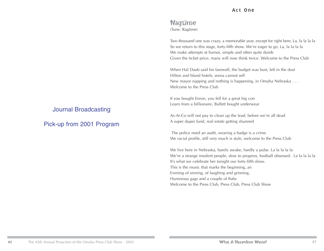#### Nagtime (Tune: Ragtime)

Two thousand one was crazy, a memorable year, except for right here, La, la la la la So we return to this stage, forty-fifth show. We're eager to go, La, la la la la We make attempts at humor, simple and often quite dumb Given the ticket price, many will now think twice. Welcome to the Press Club

When Hal Daub said his farewell, the budget was bust, left in the dust Hilton and bland hotels; arena cannot sell New mayor napping and nothing is happening, in Omaha Nebraska . . . Welcome to the Press Club

If you bought Enron, you fell for a great big con Learn from a billionaire, Buffett bought underwear

As-Ar-Co will not pay to clean up the lead, before we're all dead A super duper fund, real estate getting shunned

The police need an audit, wearing a badge is a crime We racial profile, still very much is style, welcome to the Press Club

We live here in Nebraska, barely awake, hardly a pulse. La la la la la We're a strange insolent people, slow to progress, football obsessed. La la la la la It's what we celebrate her tonight our forty-fifth show. This is the music that marks the beginning, an Evening of sinning, of laughing and grinning, Humorous gags and a couple of flubs Welcome to the Press Club, Press Club, Press Club Show

#### Journal Broadcasting

Pick-up from 2001 Program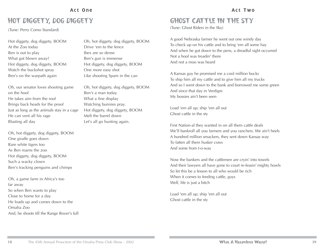#### Act One

#### HOT DIGGETY, DOG DIGGETY GHOST CATTLE IN THE STY

(Tune: Perry Como Standard)

Hot diggety, dog diggety, BOOM At the Zoo today Ben is out to play What got blown away? Hot diggety, dog diggety, BOOM Watch the buckshot spray Ben's on the warpath again

Oh, our senator loves shooting game on the hoof He takes aim from the roof Brings back heads for the proof Just as long as the animals stay in a cage He can vent all his rage Blasting all day

Oh, hot diggety, dog diggety, BOOM One giraffe goes down Rare white tigers too As Ben roams the zoo Hot diggety, dog diggety, BOOM Such a wacky clown Ben's tracking penguins and chimps

Oh, a game farm in Africa's too far away So when Ben wants to play Close to home for a day He loads up and comes down to the Omaha Zoo And, he shoots till the Range Rover's full

Oh, hot diggety, dog diggety, BOOM Drive 'em to the fence Ibex are so dense Ben's gun is immense Hot diggety, dog diggety, BOOM One more easy shot Like shooting Spam in the can

Oh, hot diggety, dog diggety, BOOM Ben's a man today. What a fine display Watching bunnies pray. Hot diggety, dog diggety, BOOM Melt the barrel down Let's all go hunting again.

#### Act Two

(Tune: Ghost Riders in the Sky)

A good Nebraska farmer he went out one windy day To check up on his cattle and to bring 'em all some hay And when he got down to the pens, a dreadful sight occurred Not a hoof was treadin' there And not a moo was heard

A Kansas guy he promised me a cool million bucks To ship him all my cattle and to give him all my trucks And so I went down to the bank and borrowed me some green And since that day in Verdigre My bossies ain't been seen

Load 'em all up; ship 'em all out Ghost cattle in the sty

First Nation-al they wanted in on all them cattle deals We'll bankroll all you farmers and you ranchers. We ain't heels A hundred million smackers, they sent down Kansas way To fatten all them husker cows And some from I-o-way

Now the bankers and the cattlemen are cryin' into towels And their lawyers all have gone to court re-leasin' mighty howls So let this be a lesson to all who would be rich When it comes to feeding cattle, guys Well, life is just a bitch

Load 'em all up; ship 'em all out Ghost cattle in the sty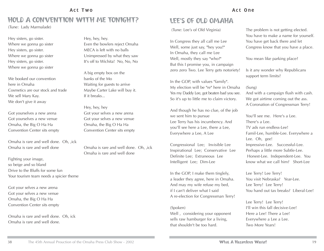#### Act Two

#### HOLD A CONVENTION WITH ME TONIGHT?

(Tune: Lady Marmalade)

Hey sisters, go sister. Where we gonna go sister Hey sisters, go sister. Where we gonna go sister Hey sisters, go sister. Where we gonna go sister

We booked our convention here in Omaha Cosmetics are our stock and trade We sell Mary Kay. We don't give it away

Got yourselves a new arena Got yourselves a new venue Omaha, the Big O Ha Ha Convention Center sits empty

Omaha is rare and well done. Oh, ,ick Omaha is rare and well done

Fighting your image, so beige and so bland Drive to the Bluffs for some fun Your tourism team needs a spicier theme

Got your selves a new arena Got your selves a new venue Omaha, the Big O Ha Ha Convention Center sits empty

Omaha is rare and well done. Oh, ick Omaha is rare and well done.

Hey, hey, hey. Even the bowlers reject Omaha MECA is left with no balls Unimpressed by what they saw It's off to Wichita! No, No, No

A big empty box on the banks of the Mo Waiting for guests to arrive Maybe Carter Lake will buy it. If it breaks...

Hey, hey, hey Got your selves a new arena Got your selves a new venue Omaha, the Big O Ha Ha Convention Center sits empty

Omaha is rare and well done. Oh, ,ick Omaha is rare and well done

#### LEE'S OF OLD OMAHA

(Tune: Lee's of Old Virginia)

In Congress they all call me Lee Well, some just say, "hey you!" In Omaha, they call me Lee Well, mostly they say "who?" But this I promise you, in campaign zero zero Two. Lee Terry gets notoriety!

In the GOP, with values "family". My election will be "re" here in Omaha Yes my Daddy Lee, got beaten bad you see. So it's up to little me to claim victory.

And though he has no clue, of the job we sent him to pursue Lee Terry has his incumbency. And you'll see here a Lee, there a Lee, Everywhere a Lee, A Lee

Congressional Lee; Invisible Lee Inspirational Lee; Conservative Lee Definite Lee; Extraneous Lee Intelligent Lee; Dim-Lee

In the GOP, I make them tinglely, a leader they agree, here in Omaha. And may my wife refuse my bed, if I can't deliver what I said A re-election for Congressman Terry!

#### (Spoken)

Well , considering your opponent sells raw hamburger for a living, that shouldn't be too hard.

The problem is not getting elected. You have to make a name for yourself. You have get back there and let Congress know that you have a place.

You mean like parking place?

Is it any wonder why Republicans support term limits?

#### (Sung)

And with a campaign flush with cash. We got airtime coming out the ass. A Coronation of Congressman Terry!

You'll see me. Here's a Lee. There's a Lee. TV ads run endless-Lee! Famil-Lee, humble-Lee. Everywhere a Lee. Oh, gee! Impressive-Lee. Successful-Lee. Perhaps a little more Subtle-Lee. Honest-Lee. Independent-Lee. You know what we call him? Short-Lee

Lee Terry! Lee Terry! You visit Nebraska? Year-Lee. Lee Terry! Lee Terry! You hand out tax breaks? Liberal-Lee!

Lee Terry! Lee Terry! I'll win this fall decisive-Lee! Here a Lee! There a Lee! Everywhere a Lee a Lee. Two More Years!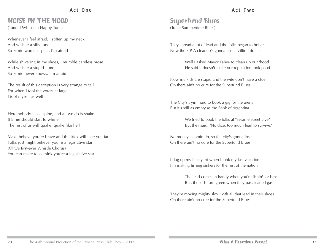Act One

#### NOISE IN THE HOOD

(Tune: I Whistle a Happy Tune)

Whenever I feel afraid, I stiffen up my neck And whistle a silly tune So Er-nie won't suspect, I'm afraid

While shivering in my shoes, I mumble careless prose And whistle a stupid tune So Er-nie never knows, I'm afraid

The result of this deception is very strange to tell For when I fool the voters at large I fool myself as well

Here nobody has a spine, and all we do is shake If Ernie should start to whine The rest of us will quake, quake like hell

Make believe you're brave and the trick will take you far Folks just might believe, you're a legislative star (OPC's first-ever Whistle Chorus) You can make folks think you're a legislative star

#### Superfund Blues (Tune: Summertime Blues)

They spread a lot of lead and the folks began to hollar Now the E-P-A cleanup's gonna cost a zillion dollars

> Well I asked Mayor Fahey to clean up our 'hood He said it doesn't make our reputation look good

Now my kids are stupid and the wife don't have a clue Oh there ain't no cure for the Superfund Blues

The City's tryin' hard to book a gig for the arena But it's still as empty as the Bank of Argentina

> We tried to book the folks at "Sesame Street Live" But they said, "No dice, too much lead to survive."

No money's comin' in, so the city's gonna lose Oh there ain't no cure for the Superfund Blues

I dug up my backyard when I took my last vacation I'm making fishing sinkers for the rest of the nation

> The lead comes in handy when you're fishin' for bass But, the kids turn green when they pass leaded gas

They're moving mighty slow with all that lead in their shoes Oh there ain't no cure for the Superfund Blues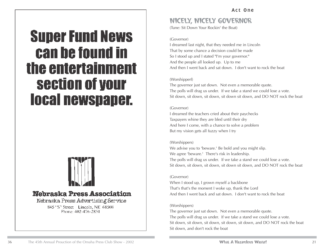### **Super Fund News** can be found in the entertainment section of your **local newspaper.**



#### Nebraska Press Association

Nebraska Press Advertising Service

845 "S" Street Lincoln, NE 68508 Phone: 402-476-2851

#### NICELY, NICELY GOVERNOR

(Tune: Sit Down Your Rockin' the Boat)

(Governor)

I dreamed last night, that they needed me in Lincoln That by some chance a decision could be made So I stood up and I stated "I'm your governor." And the people all looked up. Up to me And then I went back and sat down. I don't want to rock the boat

#### (Worshipperf)

The governor just sat down. Not even a memorable quote. The polls will drag us under. If we take a stand we could lose a vote. Sit down, sit down, sit down, sit down sit down, and DO NOT rock the boat

#### (Governor)

I dreamed the teachers cried about their paychecks Taxpayers whine they are bled until their dry And here I come, with a chance to solve a problem But my vision gets all fuzzy when I try

#### (Worshippers)

We advise you to 'beware.' Be bold and you might slip. We agree 'beware.' There's risk in leadership. The polls will drag us under. If we take a stand we could lose a vote. Sit down, sit down, sit down, sit down sit down, and DO NOT rock the boat

#### (Governor)

When I stood up, I grown myself a backbone That's that's the moment I woke up, thank the Lord And then I went back and sat down. I don't want to rock the boat

#### (Worshippers)

The governor just sat down. Not even a memorable quote. The polls will drag us under. If we take a stand we could lose a vote. Sit down, sit down, sit down, sit down, sit down, and DO NOT rock the boat Sit down, and don't rock the boat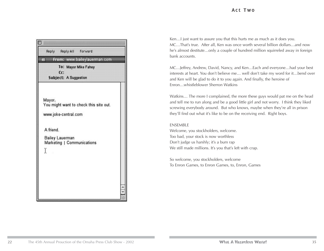| Reply                                                                      | Reply All Forward                                                    |  |
|----------------------------------------------------------------------------|----------------------------------------------------------------------|--|
| 网                                                                          | From: www.baileylauerman.com                                         |  |
| Cc:                                                                        | To: Mayor Mike Fahey<br><b>Subject: A Suggestion</b>                 |  |
| Mayor.<br>www.joke-central.com<br>A friend.<br><b>Bailey Lauerman</b><br>I | You might want to check this site out.<br>Marketing   Communications |  |

Ken…I just want to assure you that this hurts me as much as it does you. MC…That's true. After all, Ken was once worth several billion dollars…and now he's almost destitute…only a couple of hundred million squirreled away in foreign bank accounts.

MC…Jeffrey, Andrew, David, Nancy, and Ken…Each and everyone…had your best interests at heart. You don't believe me… well don't take my word for it…bend over and Ken will be glad to do it to you again. And finally, the heroine of Enron…whistleblower Sherron Watkins

Watkins… The more I complained, the more these guys would pat me on the head and tell me to run along and be a good little girl and not worry. I think they liked screwing everybody around. But who knows, maybe when they're all in prison they'll find out what it's like to be on the receiving end. Right boys.

#### ENSEMBLE

Welcome, you stockholders, welcome. Too bad, your stock is now worthless Don't judge us harshly; it's a bum rap We still made millions. It's you that's left with crap.

So welcome, you stockholders, welcome To Enron Games, to Enron Games, to, Enron, Games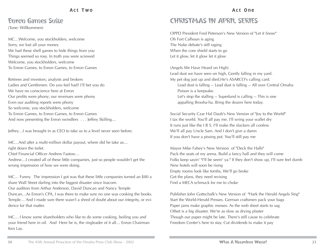#### Enron Games Suite

(Tune: Willkommen)

MC…Welcome, you stockholders, welcome Sorry, we lost all your money We had these shell games to hide things from you Things seemed so rosy. In truth you were screwed Welcome, you stockholders, welcome To Enron Games, to Enron Games, to Enron Games

Retirees and investors; analysts and brokers Ladies and Gentlemen. Do you feel had? I'll bet you do We have no conscience here at Enron Our profits were phony; our revenues were phony Even our auditing reports were phony So welcome, you stockholders, welcome To Enron Games, to Enron Games, to Enron Games And now presenting the Enron swindlers . . . Jeffrey Skilling...

Jeffrey…I was brought in as CEO to take us to a level never seen before.

MC…And after a multi-million dollar payout, where did he take us… right down the toilet.

Chief Financial Officer Andrew Fastow…

dence for that matter.

Andrew…I created all of these little companies, just so people wouldn't get the wrong impression of how we were doing.

MC… Funny. The impression I got was that these little companies turned an \$80 a share Wall Street darling into the biggest disaster since Inacom. Our auditors from Arthur Anderson, David Duncan and Nancy Temple Duncan…As Enron's CPA, I was there to make sure no one was cooking the books. Temple… And I made sure there wasn't a shred of doubt about our integrity, or evi-

MC… I know some shareholders who like to do some cooking, boiling you and your friend here in oil. And Here he is, the ringleader of it all… Enron Chairman Ken Lay.

#### CHRISTMAS IN APRIL SERIES

OPPD President Fred Peterson's New Version of "Let it Snow" Oh Fort Calhoun is aging The Nuke debate's still raging When the core shield starts to go Let it glow, let it glow let it glow

(Angels We Have Heard on High) Lead dust we have seen on high, Gently falling in my yard. My pet dog just up and died.He's ASARCO's calling card. Lead dust is falling -- Lead dust is falling -- All over Central Omaha Poison is a keepsake. Let's stop the stalling -- Superfund is calling -- This is one appalling Brooha-ha. Bring the dozers here today.

Social Security Czar Hal Daub's New Version of "Joy to the World" I tax the world. You'll all pay me. I'll wring your wallet dry It runs just like the I R S. I'll make the slackers all confess We'll all pay Uncle Sam. And I don't give a damn If you don't have a pissing pot. You'll still pay me

Mayor Mike Fahey's New Version of "Deck the Halls" Pack the seats of my arena. Build a fancy hall and they will come Folks keep sayin' "I'll be seein' ya." If they don't show up, I'll sure feel dumb New hotels will soon be rising Empty rooms look like tombs, We'll go broke Get the plans, they need revising Find a MECA schmuck for me to choke

Publisher John Gottschalk's New Version of "Hark the Herald Angels Sing" Start the World-Herald Presses. German craftsmen pack your bags Paper jams make graphic messes. As the web sheet starts to sag Offset is a big disaster. We're as slow as drying plaster Though our paper might be late. There's still cause to celebrate Freedom Center's here to stay. Cut dividends to make it pay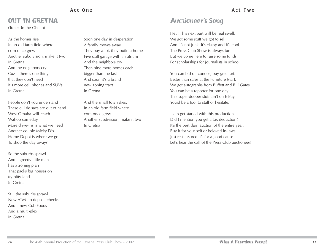#### Act One

#### OUT IN GRETNA

(Tune: In the Ghetto)

As the homes rise In an old farm field where corn once grew Another subdivision, make it two In Gretna And the neighbors cry Cuz if there's one thing that they don't need It's more cell phones and SUVs In Gretna

People don't you understand These cul de sacs are out of hand West Omaha will reach Wahoo someday More drive-ins is what we need Another couple Micky D's Home Depot is where we go To shop the day away?

So the suburbs sprawl And a greedy little man has a zoning plan That packs big houses on tty bitty land In Gretna

Still the suburbs sprawl New ATMs to deposit checks And a new Cub Foods And a multi-plex In Gretna

Soon one day in desperation A family moves away They buy a lot, they build a home Five stall garage with an atrium And the neighbors cry Then nine more homes each bigger than the last And soon it's a brand new zoning tract In Gretna

And the small town dies. In an old farm field where corn once grew Another subdivision, make it two In Gretna

#### Act Two

#### Auctioneer's Song

Hey! This next part will be real swell. We got some stuff we got to sell. And it's not junk. It's classy and it's cool. The Press Club Show is always fun But we come here to raise some funds For scholarships for journalists in school.

You can bid on condos, buy great art. Better than sales at the Furniture Mart. We got autographs from Buffett and Bill Gates You can be a reporter for one day. This super-dooper stuff ain't on E-Bay. Youíd be a fool to stall or hesitate.

Let's get started with this production Did I mention you get a tax deduction? It's the best darn auction of the entire year. Buy it for your self or beloved in-laws Just rest assured it's for a good cause. Let's hear the call of the Press Club auctioneer!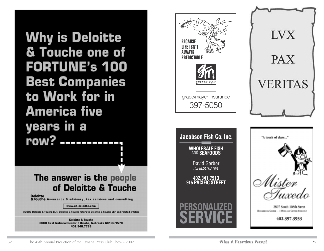**Why is Deloitte** & Touche one of **FORTUNE's 100 Best Companies** to Work for in **America five** years in a row? \_\_\_\_\_\_\_\_\_\_\_

#### The answer is the people of Deloitte & Touche

**Deloitte**<br>**&Touche** Assurance & advisory, tax services and consulting

www.us.deloitte.com

©2002 Deloitte & Touche LLP, Deloitte & Touche refers to Deloitte & Touche LLP and related entities

**Deloitte & Touche** 2000 First National Center . Omaha, Nebraska 68102-1578 402.346.7788

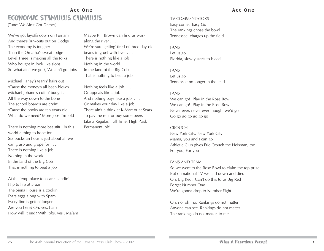#### Act One ECONOMIC STIMULUS CUMULUS (Tune: We Ain't Got Dames)

We've got layoffs down on Farnam And there's buy-outs out on Dodge The economy is tougher Than the Oma-ha's sweat lodge Level Three is making all the folks Who bought in look like slobs So what ain't we got?, We ain't got jobs

Michael Fahey's tearin' hairs out 'Cause the money's all been blown Michael Johann's cuttin' budgets All the way down to the bone The school board's are cryin' 'Cause the books are ten years old What do we need? More jobs I'm told

There is nothing more beautiful in this world a thing to hope for . . . Six bucks an hour is just about all we can grasp and grope for . . . There is nothing like a job Nothing in the world In the land of the Big Cob That is nothing to beat a job

At the temp place folks are standin' Hip to hip at 5 a.m. The Siena House is a cookin' Extra eggs along with Spam Every line is gettin' longer Are you here? Oh, yes, I am How will it end? With jobs, yes , Ma'am

Maybe R.J. Brown can find us work along the river . . . We're sure getting' tired of three-day-old beans in gruel with liver . . . There is nothing like a job Nothing in the world In the land of the Big Cob That is nothing to beat a job

Nothing feels like a job . . . Or appeals like a job And nothing pays like a job . . . Or makes your day like a job There ain't a think at K-Mart or at Sears To pay the rent or buy some beers Like a Regular, Full Time, High Paid, Permanent Job!

#### Act One

TV COMMENTATORS Easy come. Easy Go The rankings chose the bowl Tennessee, charges up the field

#### FANS Let us go Florida, slowly starts to bleed

FANS Let us go Tennessee no longer in the lead

#### FANS

We can go! Play in the Rose Bowl We can go! Play in the Rose Bowl Never ever, never ever thought we'd go Go go go go go go go

#### CROUCH

New York City. New York City Mama, you and I can go Athletic Club gives Eric Crouch the Heisman, too For you, For you

#### FANS AND TEAM

So we went to the Rose Bowl to claim the top prize But on national TV we laid down and died Oh, Big Red. Can't do this to us Big Red Forget Number One We're gonna drop to Number Eight

Oh, no, oh, no. Rankings do not matter Anyone can see. Rankings do not matter The rankings do not matter, to me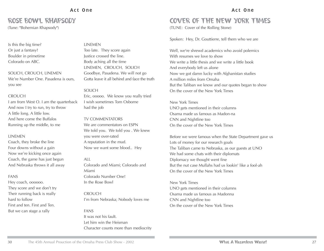#### Act One

#### ROSE BOWL RHAPSODY

(Tune: "Bohemian Rhapsody")

#### Is this the big time? Or just a fantasy? Boulder in primetime Colorado on ABC.

SOLICH, CROUCH, LINEMEN We're Number One. Pasadena is ours, you see

#### **CROUCH**

I am from West O. I am the quarterback And now I try to run, try to throw A little long. A little low. And here come the Buffalos Running up the middle, to me

#### **LINEMEN**

Coach, they broke the line Four downs without a gain Now we're kicking once again Coach, the game has just begun And Nebraska throws it all away

#### FANS

Hey coach, oooooo. They score and we don't try Their running back is really hard to follow First and ten. First and Ten. But we can stage a rally

#### **LINEMEN**

Too late. They score again Justice crossed the line. Body aching all the time LINEMEN, CROUCH, SOLICH Goodbye, Pasadena. We will not go Gotta leave it all behind and face the truth

#### SOLICH

Eric, ooooo. We know you really tried I wish sometimes Tom Osborne had the job

#### TV COMMENTATORS

We are commentators on ESPN We told you. We told you . We knew you were over-rated A reputation in the mud. Now we want some blood.. Hey

#### ALL

Colorado and Miami; Colorado and Miami Colorado Number One! In the Rose Bowl

#### CROUCH I'm from Nebraska; Nobody loves me

#### FANS

It was not his fault. Let him win the Heisman Character counts more than mediocrity

#### Act One

#### COVER OF THE NEW YORK TIMES

(TUNE: Cover of the Rolling Stone)

Spoken: Hey, Dr. Gouttierre, tell them who we are

Well, we're shrewd academics who avoid polemics With resumes we love to show We write a little thesis and we write a little book And everybody left us alone Now we got damn lucky with Afghanistan studies A million miles from Omaha But the Taliban we know and our quotes began to show On the cover of the New York Times

New York Times UNO gets mentioned in their columns Osama made us famous as Madon-na CNN and Nightline too On the cover of the New York Times

Before we were famous when the State Department gave us Lots of money for our research goals The Taliban came to Nebraska, as our guests at UNO We had some chats with their diplomats Diplomacy we thought went fine But the nut case Mullahs had us lookin' like a fool-ah On the cover of the New York Times

New York Times UNO gets mentioned in their columns Osama made us famous as Madonna CNN and Nightline too On the cover of the New York Times